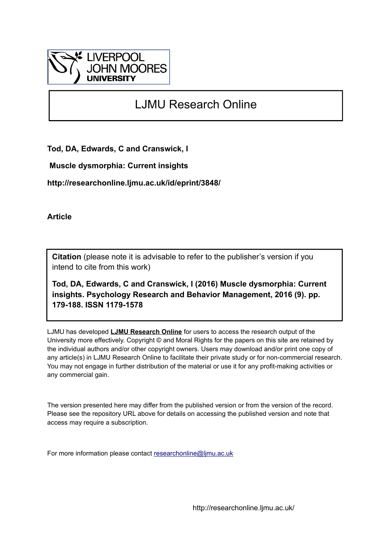

# LJMU Research Online

**Tod, DA, Edwards, C and Cranswick, I**

 **Muscle dysmorphia: Current insights**

**http://researchonline.ljmu.ac.uk/id/eprint/3848/**

**Article**

**Citation** (please note it is advisable to refer to the publisher's version if you intend to cite from this work)

**Tod, DA, Edwards, C and Cranswick, I (2016) Muscle dysmorphia: Current insights. Psychology Research and Behavior Management, 2016 (9). pp. 179-188. ISSN 1179-1578** 

LJMU has developed **[LJMU Research Online](http://researchonline.ljmu.ac.uk/)** for users to access the research output of the University more effectively. Copyright © and Moral Rights for the papers on this site are retained by the individual authors and/or other copyright owners. Users may download and/or print one copy of any article(s) in LJMU Research Online to facilitate their private study or for non-commercial research. You may not engage in further distribution of the material or use it for any profit-making activities or any commercial gain.

The version presented here may differ from the published version or from the version of the record. Please see the repository URL above for details on accessing the published version and note that access may require a subscription.

For more information please contact [researchonline@ljmu.ac.uk](mailto:researchonline@ljmu.ac.uk)

http://researchonline.ljmu.ac.uk/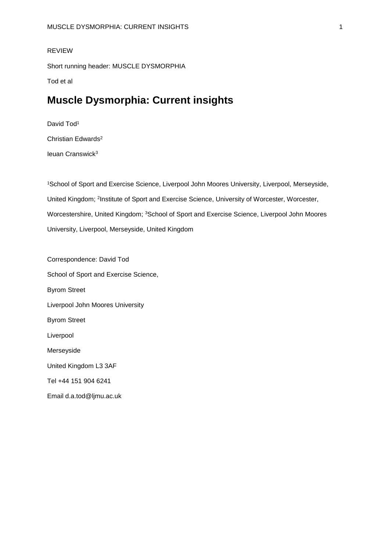#### REVIEW

Short running header: MUSCLE DYSMORPHIA

Tod et al

# **Muscle Dysmorphia: Current insights**

David Tod<sup>1</sup> Christian Edwards<sup>2</sup> Ieuan Cranswick<sup>3</sup>

<sup>1</sup>School of Sport and Exercise Science, Liverpool John Moores University, Liverpool, Merseyside, United Kingdom; <sup>2</sup>Institute of Sport and Exercise Science, University of Worcester, Worcester, Worcestershire, United Kingdom; <sup>3</sup>School of Sport and Exercise Science, Liverpool John Moores University, Liverpool, Merseyside, United Kingdom

Correspondence: David Tod School of Sport and Exercise Science, Byrom Street Liverpool John Moores University Byrom Street Liverpool Merseyside United Kingdom L3 3AF Tel +44 151 904 6241 Email d.a.tod@ljmu.ac.uk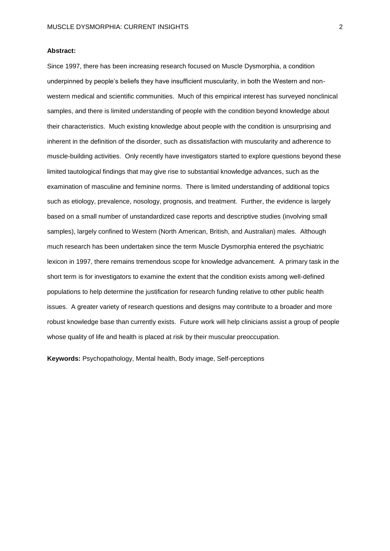#### **Abstract:**

Since 1997, there has been increasing research focused on Muscle Dysmorphia, a condition underpinned by people's beliefs they have insufficient muscularity, in both the Western and nonwestern medical and scientific communities. Much of this empirical interest has surveyed nonclinical samples, and there is limited understanding of people with the condition beyond knowledge about their characteristics. Much existing knowledge about people with the condition is unsurprising and inherent in the definition of the disorder, such as dissatisfaction with muscularity and adherence to muscle-building activities. Only recently have investigators started to explore questions beyond these limited tautological findings that may give rise to substantial knowledge advances, such as the examination of masculine and feminine norms. There is limited understanding of additional topics such as etiology, prevalence, nosology, prognosis, and treatment. Further, the evidence is largely based on a small number of unstandardized case reports and descriptive studies (involving small samples), largely confined to Western (North American, British, and Australian) males. Although much research has been undertaken since the term Muscle Dysmorphia entered the psychiatric lexicon in 1997, there remains tremendous scope for knowledge advancement. A primary task in the short term is for investigators to examine the extent that the condition exists among well-defined populations to help determine the justification for research funding relative to other public health issues. A greater variety of research questions and designs may contribute to a broader and more robust knowledge base than currently exists. Future work will help clinicians assist a group of people whose quality of life and health is placed at risk by their muscular preoccupation.

**Keywords:** Psychopathology, Mental health, Body image, Self-perceptions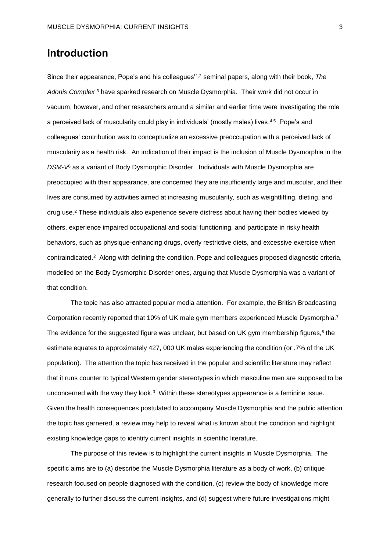## **Introduction**

Since their appearance, Pope's and his colleagues'1,2 seminal papers, along with their book, *The Adonis Complex* <sup>3</sup> have sparked research on Muscle Dysmorphia. Their work did not occur in vacuum, however, and other researchers around a similar and earlier time were investigating the role a perceived lack of muscularity could play in individuals' (mostly males) lives.<sup>4,5</sup> Pope's and colleagues' contribution was to conceptualize an excessive preoccupation with a perceived lack of muscularity as a health risk. An indication of their impact is the inclusion of Muscle Dysmorphia in the *DSM-V*<sup>6</sup> as a variant of Body Dysmorphic Disorder. Individuals with Muscle Dysmorphia are preoccupied with their appearance, are concerned they are insufficiently large and muscular, and their lives are consumed by activities aimed at increasing muscularity, such as weightlifting, dieting, and drug use. <sup>2</sup> These individuals also experience severe distress about having their bodies viewed by others, experience impaired occupational and social functioning, and participate in risky health behaviors, such as physique-enhancing drugs, overly restrictive diets, and excessive exercise when contraindicated. 2 Along with defining the condition, Pope and colleagues proposed diagnostic criteria, modelled on the Body Dysmorphic Disorder ones, arguing that Muscle Dysmorphia was a variant of that condition.

The topic has also attracted popular media attention. For example, the British Broadcasting Corporation recently reported that 10% of UK male gym members experienced Muscle Dysmorphia. 7 The evidence for the suggested figure was unclear, but based on UK gym membership figures,<sup>8</sup> the estimate equates to approximately 427, 000 UK males experiencing the condition (or .7% of the UK population). The attention the topic has received in the popular and scientific literature may reflect that it runs counter to typical Western gender stereotypes in which masculine men are supposed to be unconcerned with the way they look.<sup>3</sup> Within these stereotypes appearance is a feminine issue. Given the health consequences postulated to accompany Muscle Dysmorphia and the public attention the topic has garnered, a review may help to reveal what is known about the condition and highlight existing knowledge gaps to identify current insights in scientific literature.

The purpose of this review is to highlight the current insights in Muscle Dysmorphia. The specific aims are to (a) describe the Muscle Dysmorphia literature as a body of work, (b) critique research focused on people diagnosed with the condition, (c) review the body of knowledge more generally to further discuss the current insights, and (d) suggest where future investigations might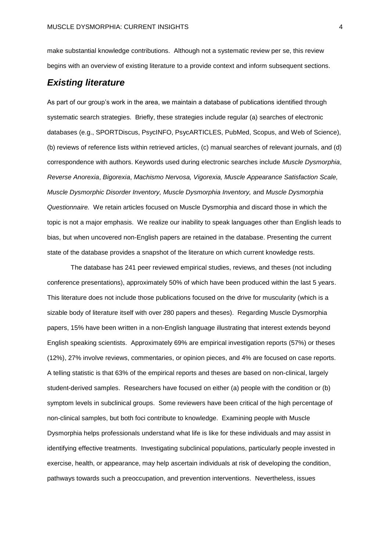make substantial knowledge contributions. Although not a systematic review per se, this review begins with an overview of existing literature to a provide context and inform subsequent sections.

### *Existing literature*

As part of our group's work in the area, we maintain a database of publications identified through systematic search strategies. Briefly, these strategies include regular (a) searches of electronic databases (e.g., SPORTDiscus, PsycINFO, PsycARTICLES, PubMed, Scopus, and Web of Science), (b) reviews of reference lists within retrieved articles, (c) manual searches of relevant journals, and (d) correspondence with authors. Keywords used during electronic searches include *Muscle Dysmorphia*, *Reverse Anorexia*, *Bigorexia*, *Machismo Nervosa, Vigorexia, Muscle Appearance Satisfaction Scale, Muscle Dysmorphic Disorder Inventory, Muscle Dysmorphia Inventory,* and *Muscle Dysmorphia Questionnaire.* We retain articles focused on Muscle Dysmorphia and discard those in which the topic is not a major emphasis. We realize our inability to speak languages other than English leads to bias, but when uncovered non-English papers are retained in the database. Presenting the current state of the database provides a snapshot of the literature on which current knowledge rests.

The database has 241 peer reviewed empirical studies, reviews, and theses (not including conference presentations), approximately 50% of which have been produced within the last 5 years. This literature does not include those publications focused on the drive for muscularity (which is a sizable body of literature itself with over 280 papers and theses). Regarding Muscle Dysmorphia papers, 15% have been written in a non-English language illustrating that interest extends beyond English speaking scientists. Approximately 69% are empirical investigation reports (57%) or theses (12%), 27% involve reviews, commentaries, or opinion pieces, and 4% are focused on case reports. A telling statistic is that 63% of the empirical reports and theses are based on non-clinical, largely student-derived samples. Researchers have focused on either (a) people with the condition or (b) symptom levels in subclinical groups. Some reviewers have been critical of the high percentage of non-clinical samples, but both foci contribute to knowledge. Examining people with Muscle Dysmorphia helps professionals understand what life is like for these individuals and may assist in identifying effective treatments. Investigating subclinical populations, particularly people invested in exercise, health, or appearance, may help ascertain individuals at risk of developing the condition, pathways towards such a preoccupation, and prevention interventions. Nevertheless, issues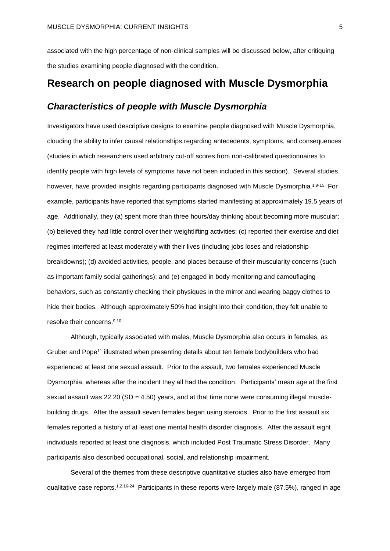associated with the high percentage of non-clinical samples will be discussed below, after critiquing the studies examining people diagnosed with the condition.

## **Research on people diagnosed with Muscle Dysmorphia**

#### *Characteristics of people with Muscle Dysmorphia*

Investigators have used descriptive designs to examine people diagnosed with Muscle Dysmorphia, clouding the ability to infer causal relationships regarding antecedents, symptoms, and consequences (studies in which researchers used arbitrary cut-off scores from non-calibrated questionnaires to identify people with high levels of symptoms have not been included in this section). Several studies, however, have provided insights regarding participants diagnosed with Muscle Dysmorphia.<sup>1,9-15</sup> For example, participants have reported that symptoms started manifesting at approximately 19.5 years of age. Additionally, they (a) spent more than three hours/day thinking about becoming more muscular; (b) believed they had little control over their weightlifting activities; (c) reported their exercise and diet regimes interfered at least moderately with their lives (including jobs loses and relationship breakdowns); (d) avoided activities, people, and places because of their muscularity concerns (such as important family social gatherings); and (e) engaged in body monitoring and camouflaging behaviors, such as constantly checking their physiques in the mirror and wearing baggy clothes to hide their bodies. Although approximately 50% had insight into their condition, they felt unable to resolve their concerns. 9,10

Although, typically associated with males, Muscle Dysmorphia also occurs in females, as Gruber and Pope<sup>11</sup> illustrated when presenting details about ten female bodybuilders who had experienced at least one sexual assault. Prior to the assault, two females experienced Muscle Dysmorphia, whereas after the incident they all had the condition. Participants' mean age at the first sexual assault was  $22.20$  (SD = 4.50) years, and at that time none were consuming illegal musclebuilding drugs. After the assault seven females began using steroids. Prior to the first assault six females reported a history of at least one mental health disorder diagnosis. After the assault eight individuals reported at least one diagnosis, which included Post Traumatic Stress Disorder. Many participants also described occupational, social, and relationship impairment.

Several of the themes from these descriptive quantitative studies also have emerged from qualitative case reports.<sup>1,2,16-24</sup> Participants in these reports were largely male (87.5%), ranged in age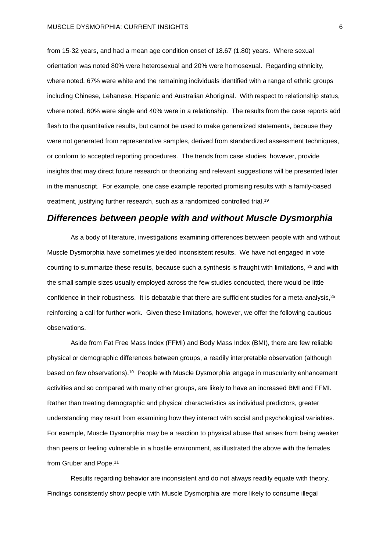from 15-32 years, and had a mean age condition onset of 18.67 (1.80) years. Where sexual orientation was noted 80% were heterosexual and 20% were homosexual. Regarding ethnicity, where noted, 67% were white and the remaining individuals identified with a range of ethnic groups including Chinese, Lebanese, Hispanic and Australian Aboriginal. With respect to relationship status, where noted, 60% were single and 40% were in a relationship. The results from the case reports add flesh to the quantitative results, but cannot be used to make generalized statements, because they were not generated from representative samples, derived from standardized assessment techniques, or conform to accepted reporting procedures. The trends from case studies, however, provide insights that may direct future research or theorizing and relevant suggestions will be presented later in the manuscript. For example, one case example reported promising results with a family-based treatment, justifying further research, such as a randomized controlled trial.<sup>19</sup>

#### *Differences between people with and without Muscle Dysmorphia*

As a body of literature, investigations examining differences between people with and without Muscle Dysmorphia have sometimes yielded inconsistent results. We have not engaged in vote counting to summarize these results, because such a synthesis is fraught with limitations, <sup>25</sup> and with the small sample sizes usually employed across the few studies conducted, there would be little confidence in their robustness. It is debatable that there are sufficient studies for a meta-analysis,  $25$ reinforcing a call for further work. Given these limitations, however, we offer the following cautious observations.

Aside from Fat Free Mass Index (FFMI) and Body Mass Index (BMI), there are few reliable physical or demographic differences between groups, a readily interpretable observation (although based on few observations).<sup>10</sup> People with Muscle Dysmorphia engage in muscularity enhancement activities and so compared with many other groups, are likely to have an increased BMI and FFMI. Rather than treating demographic and physical characteristics as individual predictors, greater understanding may result from examining how they interact with social and psychological variables. For example, Muscle Dysmorphia may be a reaction to physical abuse that arises from being weaker than peers or feeling vulnerable in a hostile environment, as illustrated the above with the females from Gruber and Pope.<sup>11</sup>

Results regarding behavior are inconsistent and do not always readily equate with theory. Findings consistently show people with Muscle Dysmorphia are more likely to consume illegal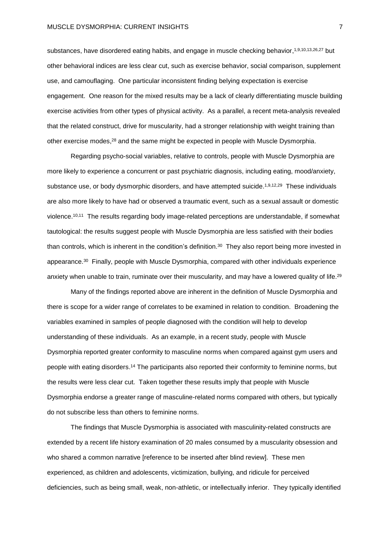substances, have disordered eating habits, and engage in muscle checking behavior,<sup>1,9,10,13,26,27</sup> but other behavioral indices are less clear cut, such as exercise behavior, social comparison, supplement use, and camouflaging. One particular inconsistent finding belying expectation is exercise engagement. One reason for the mixed results may be a lack of clearly differentiating muscle building exercise activities from other types of physical activity. As a parallel, a recent meta-analysis revealed that the related construct, drive for muscularity, had a stronger relationship with weight training than other exercise modes, <sup>28</sup> and the same might be expected in people with Muscle Dysmorphia.

Regarding psycho-social variables, relative to controls, people with Muscle Dysmorphia are more likely to experience a concurrent or past psychiatric diagnosis, including eating, mood/anxiety, substance use, or body dysmorphic disorders, and have attempted suicide.<sup>1,9,12,29</sup> These individuals are also more likely to have had or observed a traumatic event, such as a sexual assault or domestic violence. 10,11 The results regarding body image-related perceptions are understandable, if somewhat tautological: the results suggest people with Muscle Dysmorphia are less satisfied with their bodies than controls, which is inherent in the condition's definition.<sup>30</sup> They also report being more invested in appearance.<sup>30</sup> Finally, people with Muscle Dysmorphia, compared with other individuals experience anxiety when unable to train, ruminate over their muscularity, and may have a lowered quality of life.<sup>29</sup>

Many of the findings reported above are inherent in the definition of Muscle Dysmorphia and there is scope for a wider range of correlates to be examined in relation to condition. Broadening the variables examined in samples of people diagnosed with the condition will help to develop understanding of these individuals. As an example, in a recent study, people with Muscle Dysmorphia reported greater conformity to masculine norms when compared against gym users and people with eating disorders. <sup>14</sup> The participants also reported their conformity to feminine norms, but the results were less clear cut. Taken together these results imply that people with Muscle Dysmorphia endorse a greater range of masculine-related norms compared with others, but typically do not subscribe less than others to feminine norms.

The findings that Muscle Dysmorphia is associated with masculinity-related constructs are extended by a recent life history examination of 20 males consumed by a muscularity obsession and who shared a common narrative [reference to be inserted after blind review]. These men experienced, as children and adolescents, victimization, bullying, and ridicule for perceived deficiencies, such as being small, weak, non-athletic, or intellectually inferior. They typically identified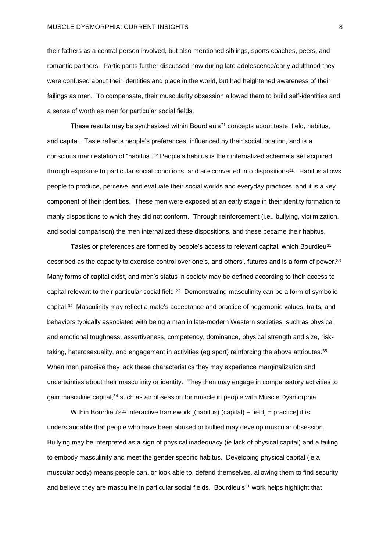their fathers as a central person involved, but also mentioned siblings, sports coaches, peers, and romantic partners. Participants further discussed how during late adolescence/early adulthood they were confused about their identities and place in the world, but had heightened awareness of their failings as men. To compensate, their muscularity obsession allowed them to build self-identities and a sense of worth as men for particular social fields.

These results may be synthesized within Bourdieu's<sup>31</sup> concepts about taste, field, habitus, and capital. Taste reflects people's preferences, influenced by their social location, and is a conscious manifestation of "habitus". <sup>32</sup> People's habitus is their internalized schemata set acquired through exposure to particular social conditions, and are converted into dispositions<sup>31</sup>. Habitus allows people to produce, perceive, and evaluate their social worlds and everyday practices, and it is a key component of their identities. These men were exposed at an early stage in their identity formation to manly dispositions to which they did not conform. Through reinforcement (i.e., bullying, victimization, and social comparison) the men internalized these dispositions, and these became their habitus.

Tastes or preferences are formed by people's access to relevant capital, which Bourdieu<sup>31</sup> described as the capacity to exercise control over one's, and others', futures and is a form of power. $33$ Many forms of capital exist, and men's status in society may be defined according to their access to capital relevant to their particular social field.<sup>34</sup> Demonstrating masculinity can be a form of symbolic capital.<sup>34</sup> Masculinity may reflect a male's acceptance and practice of hegemonic values, traits, and behaviors typically associated with being a man in late-modern Western societies, such as physical and emotional toughness, assertiveness, competency, dominance, physical strength and size, risktaking, heterosexuality, and engagement in activities (eg sport) reinforcing the above attributes.<sup>35</sup> When men perceive they lack these characteristics they may experience marginalization and uncertainties about their masculinity or identity. They then may engage in compensatory activities to gain masculine capital,<sup>34</sup> such as an obsession for muscle in people with Muscle Dysmorphia.

Within Bourdieu's<sup>31</sup> interactive framework  $[(\text{habitus}) (\text{capital}) + \text{field}] = \text{practice}$  it is understandable that people who have been abused or bullied may develop muscular obsession. Bullying may be interpreted as a sign of physical inadequacy (ie lack of physical capital) and a failing to embody masculinity and meet the gender specific habitus. Developing physical capital (ie a muscular body) means people can, or look able to, defend themselves, allowing them to find security and believe they are masculine in particular social fields. Bourdieu's<sup>31</sup> work helps highlight that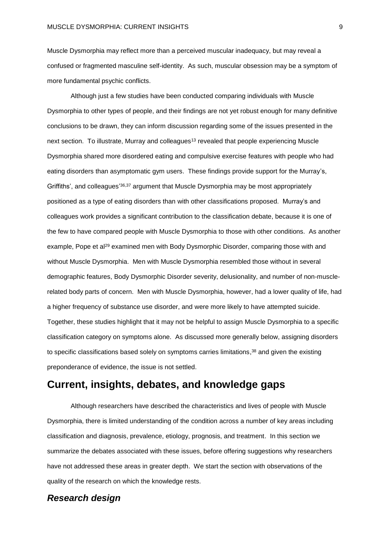Muscle Dysmorphia may reflect more than a perceived muscular inadequacy, but may reveal a confused or fragmented masculine self-identity. As such, muscular obsession may be a symptom of more fundamental psychic conflicts.

Although just a few studies have been conducted comparing individuals with Muscle Dysmorphia to other types of people, and their findings are not yet robust enough for many definitive conclusions to be drawn, they can inform discussion regarding some of the issues presented in the next section. To illustrate, Murray and colleagues<sup>13</sup> revealed that people experiencing Muscle Dysmorphia shared more disordered eating and compulsive exercise features with people who had eating disorders than asymptomatic gym users. These findings provide support for the Murray's, Griffiths', and colleagues'<sup>36,37</sup> argument that Muscle Dysmorphia may be most appropriately positioned as a type of eating disorders than with other classifications proposed. Murray's and colleagues work provides a significant contribution to the classification debate, because it is one of the few to have compared people with Muscle Dysmorphia to those with other conditions. As another example, Pope et al<sup>29</sup> examined men with Body Dysmorphic Disorder, comparing those with and without Muscle Dysmorphia. Men with Muscle Dysmorphia resembled those without in several demographic features, Body Dysmorphic Disorder severity, delusionality, and number of non-musclerelated body parts of concern. Men with Muscle Dysmorphia, however, had a lower quality of life, had a higher frequency of substance use disorder, and were more likely to have attempted suicide. Together, these studies highlight that it may not be helpful to assign Muscle Dysmorphia to a specific classification category on symptoms alone. As discussed more generally below, assigning disorders to specific classifications based solely on symptoms carries limitations, $38$  and given the existing preponderance of evidence, the issue is not settled.

### **Current, insights, debates, and knowledge gaps**

Although researchers have described the characteristics and lives of people with Muscle Dysmorphia, there is limited understanding of the condition across a number of key areas including classification and diagnosis, prevalence, etiology, prognosis, and treatment. In this section we summarize the debates associated with these issues, before offering suggestions why researchers have not addressed these areas in greater depth. We start the section with observations of the quality of the research on which the knowledge rests.

### *Research design*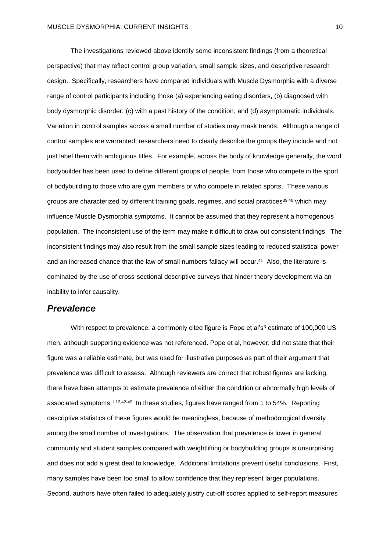The investigations reviewed above identify some inconsistent findings (from a theoretical perspective) that may reflect control group variation, small sample sizes, and descriptive research design. Specifically, researchers have compared individuals with Muscle Dysmorphia with a diverse range of control participants including those (a) experiencing eating disorders, (b) diagnosed with body dysmorphic disorder, (c) with a past history of the condition, and (d) asymptomatic individuals. Variation in control samples across a small number of studies may mask trends. Although a range of control samples are warranted, researchers need to clearly describe the groups they include and not just label them with ambiguous titles. For example, across the body of knowledge generally, the word bodybuilder has been used to define different groups of people, from those who compete in the sport of bodybuilding to those who are gym members or who compete in related sports. These various groups are characterized by different training goals, regimes, and social practices<sup>39,40</sup> which may influence Muscle Dysmorphia symptoms. It cannot be assumed that they represent a homogenous population. The inconsistent use of the term may make it difficult to draw out consistent findings. The inconsistent findings may also result from the small sample sizes leading to reduced statistical power and an increased chance that the law of small numbers fallacy will occur. 41 Also, the literature is dominated by the use of cross-sectional descriptive surveys that hinder theory development via an inability to infer causality.

#### *Prevalence*

With respect to prevalence, a commonly cited figure is Pope et al's<sup>3</sup> estimate of 100,000 US men, although supporting evidence was not referenced. Pope et al, however, did not state that their figure was a reliable estimate, but was used for illustrative purposes as part of their argument that prevalence was difficult to assess. Although reviewers are correct that robust figures are lacking, there have been attempts to estimate prevalence of either the condition or abnormally high levels of associated symptoms.<sup>1,12,42-49</sup> In these studies, figures have ranged from 1 to 54%. Reporting descriptive statistics of these figures would be meaningless, because of methodological diversity among the small number of investigations. The observation that prevalence is lower in general community and student samples compared with weightlifting or bodybuilding groups is unsurprising and does not add a great deal to knowledge. Additional limitations prevent useful conclusions. First, many samples have been too small to allow confidence that they represent larger populations. Second, authors have often failed to adequately justify cut-off scores applied to self-report measures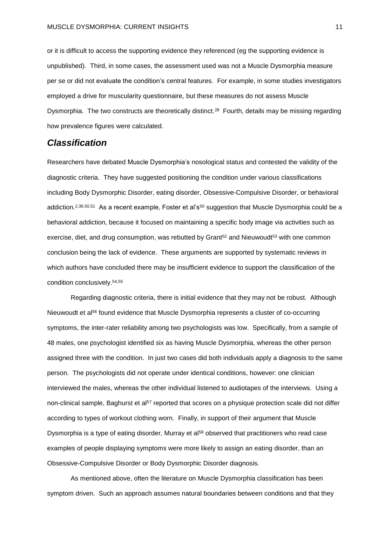or it is difficult to access the supporting evidence they referenced (eg the supporting evidence is unpublished). Third, in some cases, the assessment used was not a Muscle Dysmorphia measure per se or did not evaluate the condition's central features. For example, in some studies investigators employed a drive for muscularity questionnaire, but these measures do not assess Muscle Dysmorphia. The two constructs are theoretically distinct.<sup>28</sup> Fourth, details may be missing regarding how prevalence figures were calculated.

### *Classification*

Researchers have debated Muscle Dysmorphia's nosological status and contested the validity of the diagnostic criteria. They have suggested positioning the condition under various classifications including Body Dysmorphic Disorder, eating disorder, Obsessive-Compulsive Disorder, or behavioral addiction.<sup>2,36,50,51</sup> As a recent example, Foster et al's<sup>50</sup> suggestion that Muscle Dysmorphia could be a behavioral addiction, because it focused on maintaining a specific body image via activities such as exercise, diet, and drug consumption, was rebutted by Grant<sup>52</sup> and Nieuwoudt<sup>53</sup> with one common conclusion being the lack of evidence. These arguments are supported by systematic reviews in which authors have concluded there may be insufficient evidence to support the classification of the condition conclusively. 54,55

Regarding diagnostic criteria, there is initial evidence that they may not be robust. Although Nieuwoudt et al<sup>56</sup> found evidence that Muscle Dysmorphia represents a cluster of co-occurring symptoms, the inter-rater reliability among two psychologists was low. Specifically, from a sample of 48 males, one psychologist identified six as having Muscle Dysmorphia, whereas the other person assigned three with the condition. In just two cases did both individuals apply a diagnosis to the same person. The psychologists did not operate under identical conditions, however: one clinician interviewed the males, whereas the other individual listened to audiotapes of the interviews. Using a non-clinical sample, Baghurst et al<sup>57</sup> reported that scores on a physique protection scale did not differ according to types of workout clothing worn. Finally, in support of their argument that Muscle Dysmorphia is a type of eating disorder, Murray et al<sup>58</sup> observed that practitioners who read case examples of people displaying symptoms were more likely to assign an eating disorder, than an Obsessive-Compulsive Disorder or Body Dysmorphic Disorder diagnosis.

As mentioned above, often the literature on Muscle Dysmorphia classification has been symptom driven. Such an approach assumes natural boundaries between conditions and that they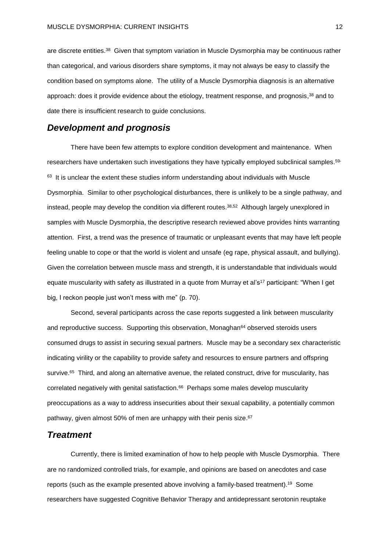are discrete entities.<sup>38</sup> Given that symptom variation in Muscle Dysmorphia may be continuous rather than categorical, and various disorders share symptoms, it may not always be easy to classify the condition based on symptoms alone. The utility of a Muscle Dysmorphia diagnosis is an alternative approach: does it provide evidence about the etiology, treatment response, and prognosis,<sup>38</sup> and to date there is insufficient research to guide conclusions.

### *Development and prognosis*

There have been few attempts to explore condition development and maintenance. When researchers have undertaken such investigations they have typically employed subclinical samples.<sup>59</sup>  $63$  It is unclear the extent these studies inform understanding about individuals with Muscle Dysmorphia. Similar to other psychological disturbances, there is unlikely to be a single pathway, and instead, people may develop the condition via different routes. 38,52 Although largely unexplored in samples with Muscle Dysmorphia, the descriptive research reviewed above provides hints warranting attention. First, a trend was the presence of traumatic or unpleasant events that may have left people feeling unable to cope or that the world is violent and unsafe (eg rape, physical assault, and bullying). Given the correlation between muscle mass and strength, it is understandable that individuals would equate muscularity with safety as illustrated in a quote from Murray et al's<sup>17</sup> participant: "When I get big, I reckon people just won't mess with me" (p. 70).

Second, several participants across the case reports suggested a link between muscularity and reproductive success. Supporting this observation, Monaghan<sup>64</sup> observed steroids users consumed drugs to assist in securing sexual partners. Muscle may be a secondary sex characteristic indicating virility or the capability to provide safety and resources to ensure partners and offspring survive.<sup>65</sup> Third, and along an alternative avenue, the related construct, drive for muscularity, has correlated negatively with genital satisfaction. 66 Perhaps some males develop muscularity preoccupations as a way to address insecurities about their sexual capability, a potentially common pathway, given almost 50% of men are unhappy with their penis size.<sup>67</sup>

#### *Treatment*

Currently, there is limited examination of how to help people with Muscle Dysmorphia. There are no randomized controlled trials, for example, and opinions are based on anecdotes and case reports (such as the example presented above involving a family-based treatment).<sup>19</sup> Some researchers have suggested Cognitive Behavior Therapy and antidepressant serotonin reuptake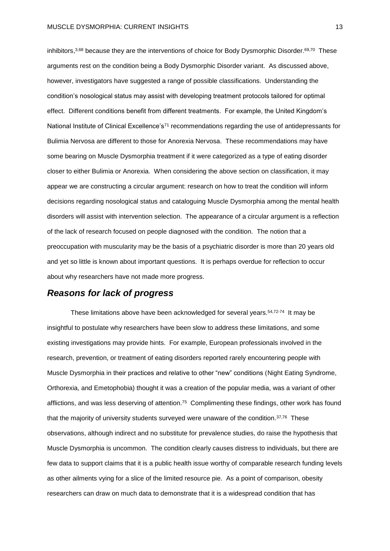inhibitors,<sup>3,68</sup> because they are the interventions of choice for Body Dysmorphic Disorder.<sup>69,70</sup> These arguments rest on the condition being a Body Dysmorphic Disorder variant. As discussed above, however, investigators have suggested a range of possible classifications. Understanding the condition's nosological status may assist with developing treatment protocols tailored for optimal effect. Different conditions benefit from different treatments. For example, the United Kingdom's National Institute of Clinical Excellence's<sup>71</sup> recommendations regarding the use of antidepressants for Bulimia Nervosa are different to those for Anorexia Nervosa. These recommendations may have some bearing on Muscle Dysmorphia treatment if it were categorized as a type of eating disorder closer to either Bulimia or Anorexia. When considering the above section on classification, it may appear we are constructing a circular argument: research on how to treat the condition will inform decisions regarding nosological status and cataloguing Muscle Dysmorphia among the mental health disorders will assist with intervention selection. The appearance of a circular argument is a reflection of the lack of research focused on people diagnosed with the condition. The notion that a preoccupation with muscularity may be the basis of a psychiatric disorder is more than 20 years old and yet so little is known about important questions. It is perhaps overdue for reflection to occur about why researchers have not made more progress.

#### *Reasons for lack of progress*

These limitations above have been acknowledged for several years.<sup>54,72-74</sup> It may be insightful to postulate why researchers have been slow to address these limitations, and some existing investigations may provide hints. For example, European professionals involved in the research, prevention, or treatment of eating disorders reported rarely encountering people with Muscle Dysmorphia in their practices and relative to other "new" conditions (Night Eating Syndrome, Orthorexia, and Emetophobia) thought it was a creation of the popular media, was a variant of other afflictions, and was less deserving of attention.<sup>75</sup> Complimenting these findings, other work has found that the majority of university students surveyed were unaware of the condition. $37,76$  These observations, although indirect and no substitute for prevalence studies, do raise the hypothesis that Muscle Dysmorphia is uncommon. The condition clearly causes distress to individuals, but there are few data to support claims that it is a public health issue worthy of comparable research funding levels as other ailments vying for a slice of the limited resource pie. As a point of comparison, obesity researchers can draw on much data to demonstrate that it is a widespread condition that has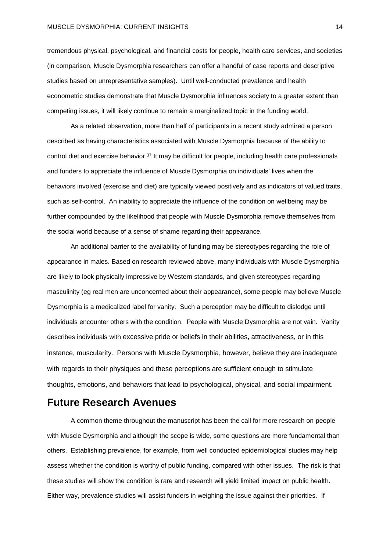tremendous physical, psychological, and financial costs for people, health care services, and societies (in comparison, Muscle Dysmorphia researchers can offer a handful of case reports and descriptive studies based on unrepresentative samples). Until well-conducted prevalence and health econometric studies demonstrate that Muscle Dysmorphia influences society to a greater extent than competing issues, it will likely continue to remain a marginalized topic in the funding world.

As a related observation, more than half of participants in a recent study admired a person described as having characteristics associated with Muscle Dysmorphia because of the ability to control diet and exercise behavior.<sup>37</sup> It may be difficult for people, including health care professionals and funders to appreciate the influence of Muscle Dysmorphia on individuals' lives when the behaviors involved (exercise and diet) are typically viewed positively and as indicators of valued traits, such as self-control. An inability to appreciate the influence of the condition on wellbeing may be further compounded by the likelihood that people with Muscle Dysmorphia remove themselves from the social world because of a sense of shame regarding their appearance.

An additional barrier to the availability of funding may be stereotypes regarding the role of appearance in males. Based on research reviewed above, many individuals with Muscle Dysmorphia are likely to look physically impressive by Western standards, and given stereotypes regarding masculinity (eg real men are unconcerned about their appearance), some people may believe Muscle Dysmorphia is a medicalized label for vanity. Such a perception may be difficult to dislodge until individuals encounter others with the condition. People with Muscle Dysmorphia are not vain. Vanity describes individuals with excessive pride or beliefs in their abilities, attractiveness, or in this instance, muscularity. Persons with Muscle Dysmorphia, however, believe they are inadequate with regards to their physiques and these perceptions are sufficient enough to stimulate thoughts, emotions, and behaviors that lead to psychological, physical, and social impairment.

### **Future Research Avenues**

A common theme throughout the manuscript has been the call for more research on people with Muscle Dysmorphia and although the scope is wide, some questions are more fundamental than others. Establishing prevalence, for example, from well conducted epidemiological studies may help assess whether the condition is worthy of public funding, compared with other issues. The risk is that these studies will show the condition is rare and research will yield limited impact on public health. Either way, prevalence studies will assist funders in weighing the issue against their priorities. If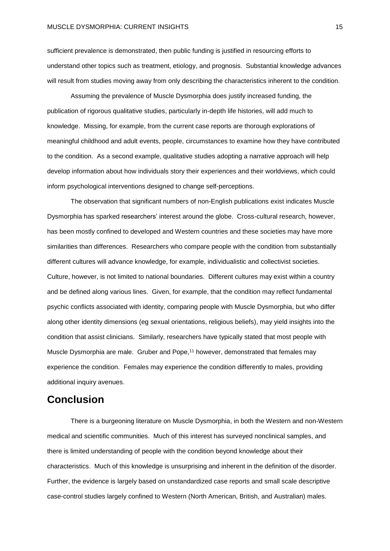sufficient prevalence is demonstrated, then public funding is justified in resourcing efforts to understand other topics such as treatment, etiology, and prognosis. Substantial knowledge advances will result from studies moving away from only describing the characteristics inherent to the condition.

Assuming the prevalence of Muscle Dysmorphia does justify increased funding, the publication of rigorous qualitative studies, particularly in-depth life histories, will add much to knowledge. Missing, for example, from the current case reports are thorough explorations of meaningful childhood and adult events, people, circumstances to examine how they have contributed to the condition. As a second example, qualitative studies adopting a narrative approach will help develop information about how individuals story their experiences and their worldviews, which could inform psychological interventions designed to change self-perceptions.

The observation that significant numbers of non-English publications exist indicates Muscle Dysmorphia has sparked researchers' interest around the globe. Cross-cultural research, however, has been mostly confined to developed and Western countries and these societies may have more similarities than differences. Researchers who compare people with the condition from substantially different cultures will advance knowledge, for example, individualistic and collectivist societies. Culture, however, is not limited to national boundaries. Different cultures may exist within a country and be defined along various lines. Given, for example, that the condition may reflect fundamental psychic conflicts associated with identity, comparing people with Muscle Dysmorphia, but who differ along other identity dimensions (eg sexual orientations, religious beliefs), may yield insights into the condition that assist clinicians. Similarly, researchers have typically stated that most people with Muscle Dysmorphia are male. Gruber and Pope, <sup>11</sup> however, demonstrated that females may experience the condition. Females may experience the condition differently to males, providing additional inquiry avenues.

## **Conclusion**

There is a burgeoning literature on Muscle Dysmorphia, in both the Western and non-Western medical and scientific communities. Much of this interest has surveyed nonclinical samples, and there is limited understanding of people with the condition beyond knowledge about their characteristics. Much of this knowledge is unsurprising and inherent in the definition of the disorder. Further, the evidence is largely based on unstandardized case reports and small scale descriptive case-control studies largely confined to Western (North American, British, and Australian) males.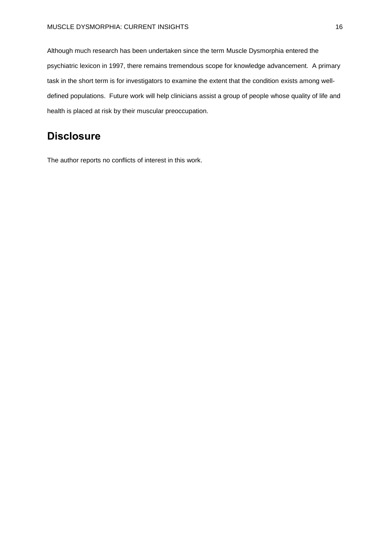Although much research has been undertaken since the term Muscle Dysmorphia entered the psychiatric lexicon in 1997, there remains tremendous scope for knowledge advancement. A primary task in the short term is for investigators to examine the extent that the condition exists among welldefined populations. Future work will help clinicians assist a group of people whose quality of life and health is placed at risk by their muscular preoccupation.

# **Disclosure**

The author reports no conflicts of interest in this work.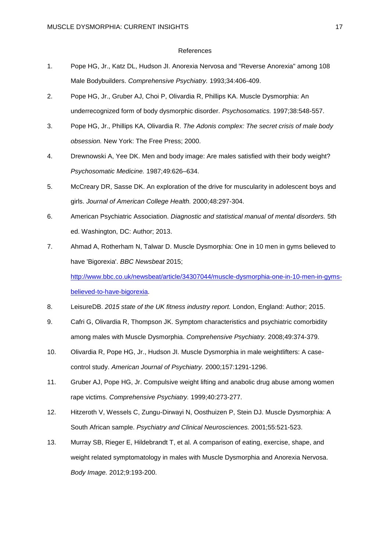#### References

- 1. Pope HG, Jr., Katz DL, Hudson JI. Anorexia Nervosa and "Reverse Anorexia" among 108 Male Bodybuilders. *Comprehensive Psychiatry.* 1993;34:406-409.
- 2. Pope HG, Jr., Gruber AJ, Choi P, Olivardia R, Phillips KA. Muscle Dysmorphia: An underrecognized form of body dysmorphic disorder. *Psychosomatics.* 1997;38:548-557.
- 3. Pope HG, Jr., Phillips KA, Olivardia R. *The Adonis complex: The secret crisis of male body obsession.* New York: The Free Press; 2000.
- 4. Drewnowski A, Yee DK. Men and body image: Are males satisfied with their body weight? *Psychosomatic Medicine.* 1987;49:626–634.
- 5. McCreary DR, Sasse DK. An exploration of the drive for muscularity in adolescent boys and girls. *Journal of American College Health.* 2000;48:297-304.
- 6. American Psychiatric Association. *Diagnostic and statistical manual of mental disorders.* 5th ed. Washington, DC: Author; 2013.
- 7. Ahmad A, Rotherham N, Talwar D. Muscle Dysmorphia: One in 10 men in gyms believed to have 'Bigorexia'. *BBC Newsbeat* 2015; [http://www.bbc.co.uk/newsbeat/article/34307044/muscle-dysmorphia-one-in-10-men-in-gyms](http://www.bbc.co.uk/newsbeat/article/34307044/muscle-dysmorphia-one-in-10-men-in-gyms-believed-to-have-bigorexia)[believed-to-have-bigorexia.](http://www.bbc.co.uk/newsbeat/article/34307044/muscle-dysmorphia-one-in-10-men-in-gyms-believed-to-have-bigorexia)
- 8. LeisureDB. *2015 state of the UK fitness industry report.* London, England: Author; 2015.
- 9. Cafri G, Olivardia R, Thompson JK. Symptom characteristics and psychiatric comorbidity among males with Muscle Dysmorphia. *Comprehensive Psychiatry.* 2008;49:374-379.
- 10. Olivardia R, Pope HG, Jr., Hudson JI. Muscle Dysmorphia in male weightlifters: A casecontrol study. *American Journal of Psychiatry.* 2000;157:1291-1296.
- 11. Gruber AJ, Pope HG, Jr. Compulsive weight lifting and anabolic drug abuse among women rape victims. *Comprehensive Psychiatry.* 1999;40:273-277.
- 12. Hitzeroth V, Wessels C, Zungu-Dirwayi N, Oosthuizen P, Stein DJ. Muscle Dysmorphia: A South African sample. *Psychiatry and Clinical Neurosciences.* 2001;55:521-523.
- 13. Murray SB, Rieger E, Hildebrandt T, et al. A comparison of eating, exercise, shape, and weight related symptomatology in males with Muscle Dysmorphia and Anorexia Nervosa. *Body Image.* 2012;9:193-200.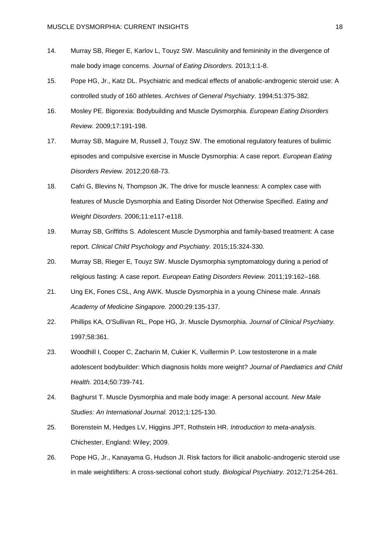- 14. Murray SB, Rieger E, Karlov L, Touyz SW. Masculinity and femininity in the divergence of male body image concerns. *Journal of Eating Disorders.* 2013;1:1-8.
- 15. Pope HG, Jr., Katz DL. Psychiatric and medical effects of anabolic-androgenic steroid use: A controlled study of 160 athletes. *Archives of General Psychiatry.* 1994;51:375-382.
- 16. Mosley PE. Bigorexia: Bodybuilding and Muscle Dysmorphia. *European Eating Disorders Review.* 2009;17:191-198.
- 17. Murray SB, Maguire M, Russell J, Touyz SW. The emotional regulatory features of bulimic episodes and compulsive exercise in Muscle Dysmorphia: A case report. *European Eating Disorders Review.* 2012;20:68-73.
- 18. Cafri G, Blevins N, Thompson JK. The drive for muscle leanness: A complex case with features of Muscle Dysmorphia and Eating Disorder Not Otherwise Specified. *Eating and Weight Disorders.* 2006;11:e117-e118.
- 19. Murray SB, Griffiths S. Adolescent Muscle Dysmorphia and family-based treatment: A case report. *Clinical Child Psychology and Psychiatry.* 2015;15:324-330.
- 20. Murray SB, Rieger E, Touyz SW. Muscle Dysmorphia symptomatology during a period of religious fasting: A case report. *European Eating Disorders Review.* 2011;19:162–168.
- 21. Ung EK, Fones CSL, Ang AWK. Muscle Dysmorphia in a young Chinese male. *Annals Academy of Medicine Singapore.* 2000;29:135-137.
- 22. Phillips KA, O'Sullivan RL, Pope HG, Jr. Muscle Dysmorphia. *Journal of Clinical Psychiatry.*  1997;58:361.
- 23. Woodhill I, Cooper C, Zacharin M, Cukier K, Vuillermin P. Low testosterone in a male adolescent bodybuilder: Which diagnosis holds more weight? *Journal of Paediatrics and Child Health.* 2014;50:739-741.
- 24. Baghurst T. Muscle Dysmorphia and male body image: A personal account. *New Male Studies: An International Journal.* 2012;1:125-130.
- 25. Borenstein M, Hedges LV, Higgins JPT, Rothstein HR. *Introduction to meta-analysis.* Chichester, England: Wiley; 2009.
- 26. Pope HG, Jr., Kanayama G, Hudson JI. Risk factors for illicit anabolic-androgenic steroid use in male weightlifters: A cross-sectional cohort study. *Biological Psychiatry.* 2012;71:254-261.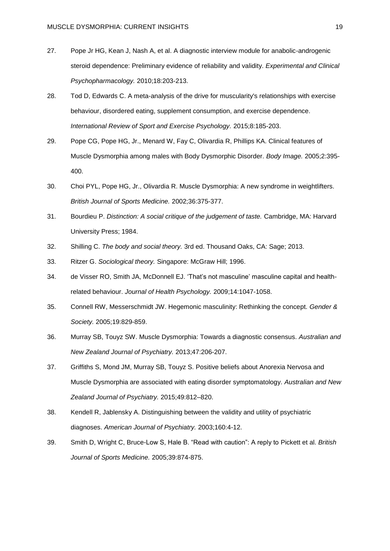- 27. Pope Jr HG, Kean J, Nash A, et al. A diagnostic interview module for anabolic-androgenic steroid dependence: Preliminary evidence of reliability and validity. *Experimental and Clinical Psychopharmacology.* 2010;18:203-213.
- 28. Tod D, Edwards C. A meta-analysis of the drive for muscularity's relationships with exercise behaviour, disordered eating, supplement consumption, and exercise dependence. *International Review of Sport and Exercise Psychology.* 2015;8:185-203.
- 29. Pope CG, Pope HG, Jr., Menard W, Fay C, Olivardia R, Phillips KA. Clinical features of Muscle Dysmorphia among males with Body Dysmorphic Disorder. *Body Image.* 2005;2:395- 400.
- 30. Choi PYL, Pope HG, Jr., Olivardia R. Muscle Dysmorphia: A new syndrome in weightlifters. *British Journal of Sports Medicine.* 2002;36:375-377.
- 31. Bourdieu P. *Distinction: A social critique of the judgement of taste.* Cambridge, MA: Harvard University Press; 1984.
- 32. Shilling C. *The body and social theory.* 3rd ed. Thousand Oaks, CA: Sage; 2013.
- 33. Ritzer G. *Sociological theory.* Singapore: McGraw Hill; 1996.
- 34. de Visser RO, Smith JA, McDonnell EJ. 'That's not masculine' masculine capital and healthrelated behaviour. *Journal of Health Psychology.* 2009;14:1047-1058.
- 35. Connell RW, Messerschmidt JW. Hegemonic masculinity: Rethinking the concept. *Gender & Society.* 2005;19:829-859.
- 36. Murray SB, Touyz SW. Muscle Dysmorphia: Towards a diagnostic consensus. *Australian and New Zealand Journal of Psychiatry.* 2013;47:206-207.
- 37. Griffiths S, Mond JM, Murray SB, Touyz S. Positive beliefs about Anorexia Nervosa and Muscle Dysmorphia are associated with eating disorder symptomatology. *Australian and New Zealand Journal of Psychiatry.* 2015;49:812–820.
- 38. Kendell R, Jablensky A. Distinguishing between the validity and utility of psychiatric diagnoses. *American Journal of Psychiatry.* 2003;160:4-12.
- 39. Smith D, Wright C, Bruce-Low S, Hale B. "Read with caution": A reply to Pickett et al. *British Journal of Sports Medicine.* 2005;39:874-875.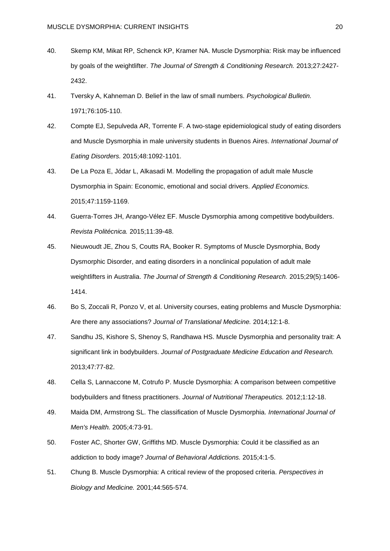- 40. Skemp KM, Mikat RP, Schenck KP, Kramer NA. Muscle Dysmorphia: Risk may be influenced by goals of the weightlifter. *The Journal of Strength & Conditioning Research.* 2013;27:2427- 2432.
- 41. Tversky A, Kahneman D. Belief in the law of small numbers. *Psychological Bulletin.*  1971;76:105-110.
- 42. Compte EJ, Sepulveda AR, Torrente F. A two-stage epidemiological study of eating disorders and Muscle Dysmorphia in male university students in Buenos Aires. *International Journal of Eating Disorders.* 2015;48:1092-1101.
- 43. De La Poza E, Jódar L, Alkasadi M. Modelling the propagation of adult male Muscle Dysmorphia in Spain: Economic, emotional and social drivers. *Applied Economics.*  2015;47:1159-1169.
- 44. Guerra-Torres JH, Arango-Vélez EF. Muscle Dysmorphia among competitive bodybuilders. *Revista Politécnica.* 2015;11:39-48.
- 45. Nieuwoudt JE, Zhou S, Coutts RA, Booker R. Symptoms of Muscle Dysmorphia, Body Dysmorphic Disorder, and eating disorders in a nonclinical population of adult male weightlifters in Australia. *The Journal of Strength & Conditioning Research.* 2015;29(5):1406- 1414.
- 46. Bo S, Zoccali R, Ponzo V, et al. University courses, eating problems and Muscle Dysmorphia: Are there any associations? *Journal of Translational Medicine.* 2014;12:1-8.
- 47. Sandhu JS, Kishore S, Shenoy S, Randhawa HS. Muscle Dysmorphia and personality trait: A significant link in bodybuilders. *Journal of Postgraduate Medicine Education and Research.*  2013;47:77-82.
- 48. Cella S, Lannaccone M, Cotrufo P. Muscle Dysmorphia: A comparison between competitive bodybuilders and fitness practitioners. *Journal of Nutritional Therapeutics.* 2012;1:12-18.
- 49. Maida DM, Armstrong SL. The classification of Muscle Dysmorphia. *International Journal of Men's Health.* 2005;4:73-91.
- 50. Foster AC, Shorter GW, Griffiths MD. Muscle Dysmorphia: Could it be classified as an addiction to body image? *Journal of Behavioral Addictions.* 2015;4:1-5.
- 51. Chung B. Muscle Dysmorphia: A critical review of the proposed criteria. *Perspectives in Biology and Medicine.* 2001;44:565-574.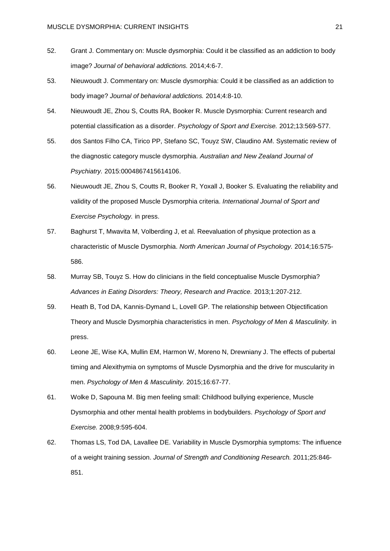- 52. Grant J. Commentary on: Muscle dysmorphia: Could it be classified as an addiction to body image? *Journal of behavioral addictions.* 2014;4:6-7.
- 53. Nieuwoudt J. Commentary on: Muscle dysmorphia: Could it be classified as an addiction to body image? *Journal of behavioral addictions.* 2014;4:8-10.
- 54. Nieuwoudt JE, Zhou S, Coutts RA, Booker R. Muscle Dysmorphia: Current research and potential classification as a disorder. *Psychology of Sport and Exercise.* 2012;13:569-577.
- 55. dos Santos Filho CA, Tirico PP, Stefano SC, Touyz SW, Claudino AM. Systematic review of the diagnostic category muscle dysmorphia. *Australian and New Zealand Journal of Psychiatry.* 2015:0004867415614106.
- 56. Nieuwoudt JE, Zhou S, Coutts R, Booker R, Yoxall J, Booker S. Evaluating the reliability and validity of the proposed Muscle Dysmorphia criteria. *International Journal of Sport and Exercise Psychology.* in press.
- 57. Baghurst T, Mwavita M, Volberding J, et al. Reevaluation of physique protection as a characteristic of Muscle Dysmorphia. *North American Journal of Psychology.* 2014;16:575- 586.
- 58. Murray SB, Touyz S. How do clinicians in the field conceptualise Muscle Dysmorphia? *Advances in Eating Disorders: Theory, Research and Practice.* 2013;1:207-212.
- 59. Heath B, Tod DA, Kannis-Dymand L, Lovell GP. The relationship between Objectification Theory and Muscle Dysmorphia characteristics in men. *Psychology of Men & Masculinity.* in press.
- 60. Leone JE, Wise KA, Mullin EM, Harmon W, Moreno N, Drewniany J. The effects of pubertal timing and Alexithymia on symptoms of Muscle Dysmorphia and the drive for muscularity in men. *Psychology of Men & Masculinity.* 2015;16:67-77.
- 61. Wolke D, Sapouna M. Big men feeling small: Childhood bullying experience, Muscle Dysmorphia and other mental health problems in bodybuilders. *Psychology of Sport and Exercise.* 2008;9:595-604.
- 62. Thomas LS, Tod DA, Lavallee DE. Variability in Muscle Dysmorphia symptoms: The influence of a weight training session. *Journal of Strength and Conditioning Research.* 2011;25:846- 851.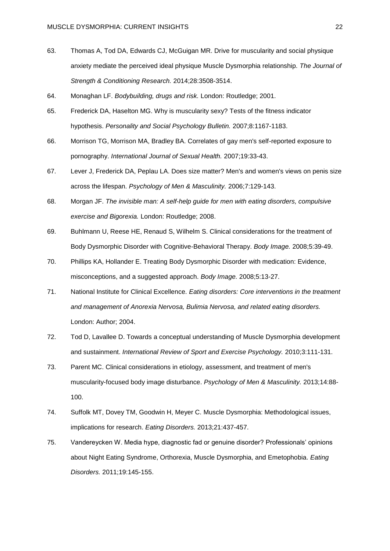- 63. Thomas A, Tod DA, Edwards CJ, McGuigan MR. Drive for muscularity and social physique anxiety mediate the perceived ideal physique Muscle Dysmorphia relationship. *The Journal of Strength & Conditioning Research.* 2014;28:3508-3514.
- 64. Monaghan LF. *Bodybuilding, drugs and risk.* London: Routledge; 2001.
- 65. Frederick DA, Haselton MG. Why is muscularity sexy? Tests of the fitness indicator hypothesis. *Personality and Social Psychology Bulletin.* 2007;8:1167-1183.
- 66. Morrison TG, Morrison MA, Bradley BA. Correlates of gay men's self-reported exposure to pornography. *International Journal of Sexual Health.* 2007;19:33-43.
- 67. Lever J, Frederick DA, Peplau LA. Does size matter? Men's and women's views on penis size across the lifespan. *Psychology of Men & Masculinity.* 2006;7:129-143.
- 68. Morgan JF. *The invisible man: A self-help guide for men with eating disorders, compulsive exercise and Bigorexia.* London: Routledge; 2008.
- 69. Buhlmann U, Reese HE, Renaud S, Wilhelm S. Clinical considerations for the treatment of Body Dysmorphic Disorder with Cognitive-Behavioral Therapy. *Body Image.* 2008;5:39-49.
- 70. Phillips KA, Hollander E. Treating Body Dysmorphic Disorder with medication: Evidence, misconceptions, and a suggested approach. *Body Image.* 2008;5:13-27.
- 71. National Institute for Clinical Excellence. *Eating disorders: Core interventions in the treatment and management of Anorexia Nervosa, Bulimia Nervosa, and related eating disorders.* London: Author; 2004.
- 72. Tod D, Lavallee D. Towards a conceptual understanding of Muscle Dysmorphia development and sustainment. *International Review of Sport and Exercise Psychology.* 2010;3:111-131.
- 73. Parent MC. Clinical considerations in etiology, assessment, and treatment of men's muscularity-focused body image disturbance. *Psychology of Men & Masculinity.* 2013;14:88- 100.
- 74. Suffolk MT, Dovey TM, Goodwin H, Meyer C. Muscle Dysmorphia: Methodological issues, implications for research. *Eating Disorders.* 2013;21:437-457.
- 75. Vandereycken W. Media hype, diagnostic fad or genuine disorder? Professionals' opinions about Night Eating Syndrome, Orthorexia, Muscle Dysmorphia, and Emetophobia. *Eating Disorders.* 2011;19:145-155.